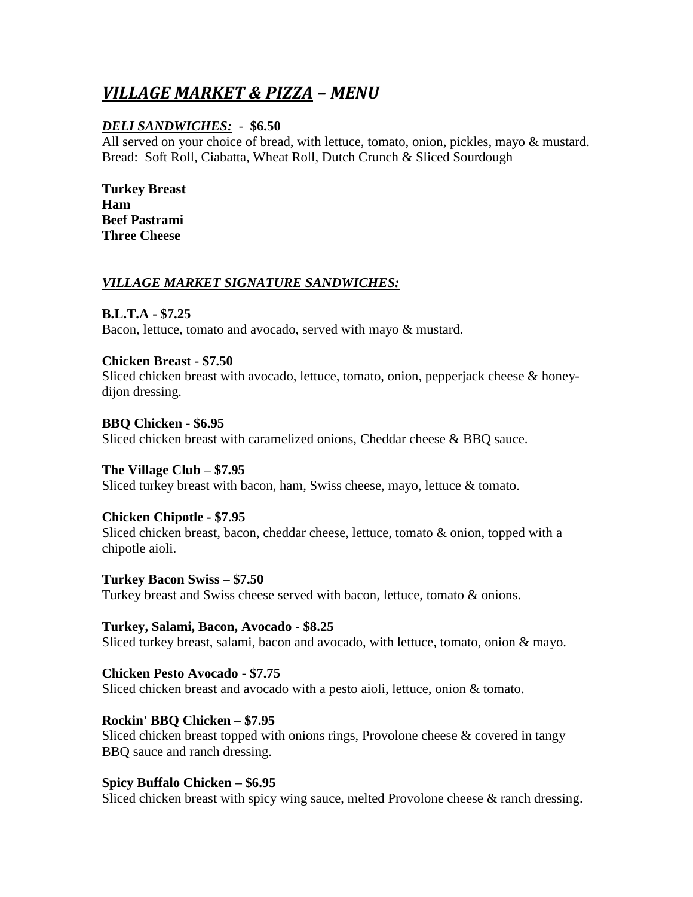# *VILLAGE MARKET & PIZZA – MENU*

# *DELI SANDWICHES:* - **\$6.50**

All served on your choice of bread, with lettuce, tomato, onion, pickles, mayo & mustard. Bread: Soft Roll, Ciabatta, Wheat Roll, Dutch Crunch & Sliced Sourdough

**Turkey Breast Ham Beef Pastrami Three Cheese** 

## *VILLAGE MARKET SIGNATURE SANDWICHES:*

**B.L.T.A - \$7.25** 

Bacon, lettuce, tomato and avocado, served with mayo & mustard.

#### **Chicken Breast - \$7.50**

Sliced chicken breast with avocado, lettuce, tomato, onion, pepperjack cheese  $\&$  honeydijon dressing.

**BBQ Chicken - \$6.95**  Sliced chicken breast with caramelized onions, Cheddar cheese & BBQ sauce.

**The Village Club – \$7.95**  Sliced turkey breast with bacon, ham, Swiss cheese, mayo, lettuce & tomato.

**Chicken Chipotle - \$7.95**  Sliced chicken breast, bacon, cheddar cheese, lettuce, tomato & onion, topped with a chipotle aioli.

**Turkey Bacon Swiss – \$7.50**  Turkey breast and Swiss cheese served with bacon, lettuce, tomato & onions.

**Turkey, Salami, Bacon, Avocado - \$8.25**  Sliced turkey breast, salami, bacon and avocado, with lettuce, tomato, onion & mayo.

**Chicken Pesto Avocado - \$7.75**  Sliced chicken breast and avocado with a pesto aioli, lettuce, onion & tomato.

**Rockin' BBQ Chicken – \$7.95**  Sliced chicken breast topped with onions rings, Provolone cheese  $\&$  covered in tangy BBQ sauce and ranch dressing.

#### **Spicy Buffalo Chicken – \$6.95**

Sliced chicken breast with spicy wing sauce, melted Provolone cheese & ranch dressing.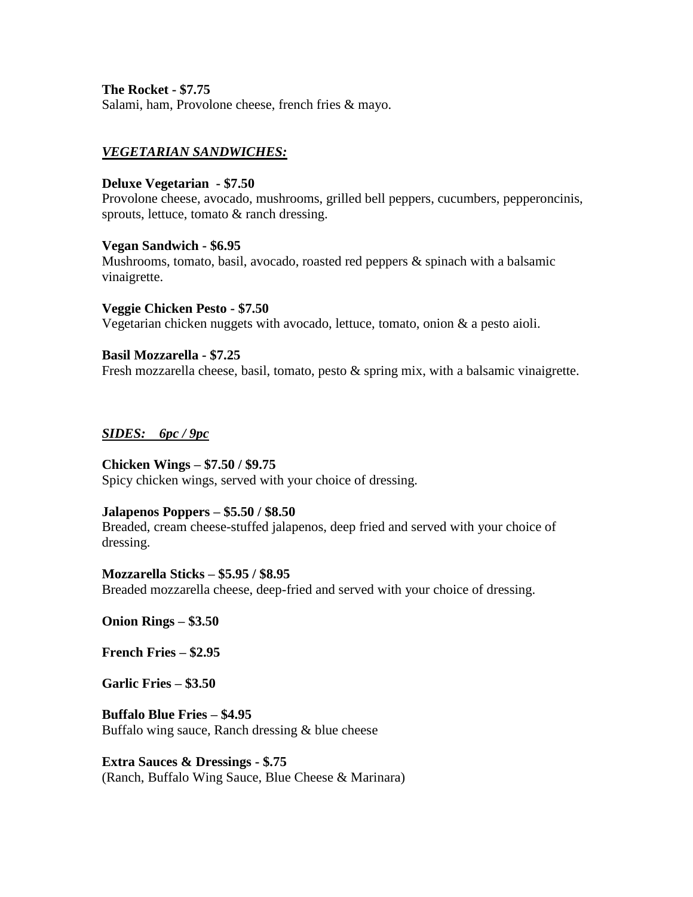**The Rocket - \$7.75**  Salami, ham, Provolone cheese, french fries & mayo.

## *VEGETARIAN SANDWICHES:*

## **Deluxe Vegetarian - \$7.50**

Provolone cheese, avocado, mushrooms, grilled bell peppers, cucumbers, pepperoncinis, sprouts, lettuce, tomato  $\&$  ranch dressing.

#### **Vegan Sandwich - \$6.95**

Mushrooms, tomato, basil, avocado, roasted red peppers & spinach with a balsamic vinaigrette.

**Veggie Chicken Pesto - \$7.50**  Vegetarian chicken nuggets with avocado, lettuce, tomato, onion & a pesto aioli.

**Basil Mozzarella - \$7.25**  Fresh mozzarella cheese, basil, tomato, pesto & spring mix, with a balsamic vinaigrette.

#### *SIDES: 6pc / 9pc*

#### **Chicken Wings – \$7.50 / \$9.75**

Spicy chicken wings, served with your choice of dressing.

#### **Jalapenos Poppers – \$5.50 / \$8.50**

Breaded, cream cheese-stuffed jalapenos, deep fried and served with your choice of dressing.

**Mozzarella Sticks – \$5.95 / \$8.95**  Breaded mozzarella cheese, deep-fried and served with your choice of dressing.

**Onion Rings – \$3.50** 

**French Fries – \$2.95** 

**Garlic Fries – \$3.50** 

**Buffalo Blue Fries – \$4.95**  Buffalo wing sauce, Ranch dressing & blue cheese

**Extra Sauces & Dressings - \$.75**  (Ranch, Buffalo Wing Sauce, Blue Cheese & Marinara)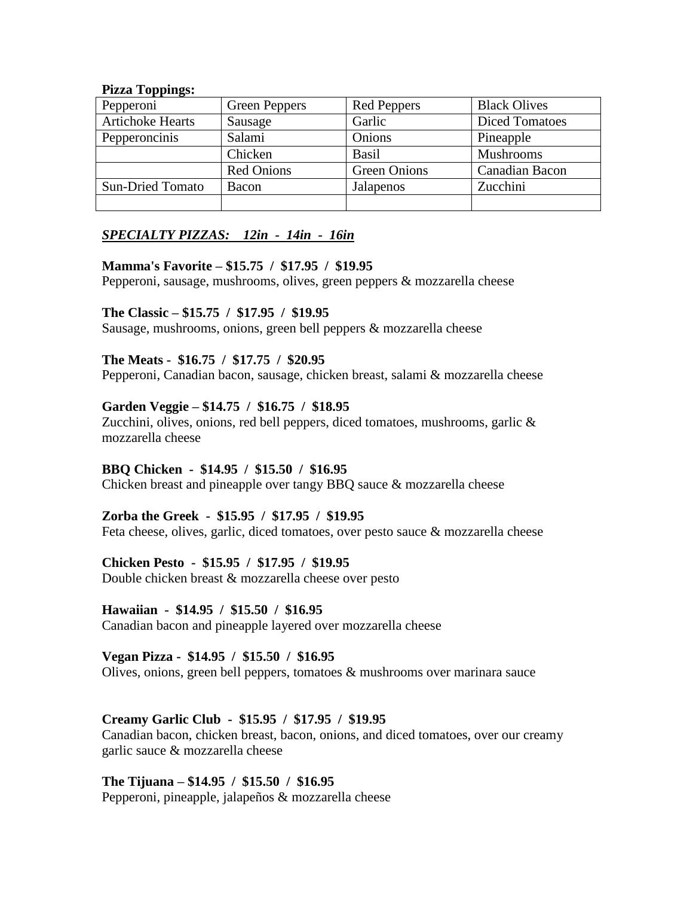#### Pizza Toppings:

| Pepperoni               | <b>Green Peppers</b> | <b>Red Peppers</b>  | <b>Black Olives</b>   |
|-------------------------|----------------------|---------------------|-----------------------|
| <b>Artichoke Hearts</b> | Sausage              | Garlic              | <b>Diced Tomatoes</b> |
| Pepperoncinis           | Salami               | Onions              | Pineapple             |
|                         | Chicken              | <b>Basil</b>        | <b>Mushrooms</b>      |
|                         | <b>Red Onions</b>    | <b>Green Onions</b> | Canadian Bacon        |
| <b>Sun-Dried Tomato</b> | Bacon                | Jalapenos           | Zucchini              |
|                         |                      |                     |                       |

## *SPECIALTY PIZZAS: 12in - 14in - 16in*

#### **Mamma's Favorite – \$15.75 / \$17.95 / \$19.95**

Pepperoni, sausage, mushrooms, olives, green peppers & mozzarella cheese

#### **The Classic – \$15.75 / \$17.95 / \$19.95**

Sausage, mushrooms, onions, green bell peppers & mozzarella cheese

#### **The Meats - \$16.75 / \$17.75 / \$20.95**

Pepperoni, Canadian bacon, sausage, chicken breast, salami & mozzarella cheese

#### **Garden Veggie – \$14.75 / \$16.75 / \$18.95**

Zucchini, olives, onions, red bell peppers, diced tomatoes, mushrooms, garlic & mozzarella cheese

#### **BBQ Chicken - \$14.95 / \$15.50 / \$16.95**

Chicken breast and pineapple over tangy BBQ sauce & mozzarella cheese

#### **Zorba the Greek - \$15.95 / \$17.95 / \$19.95**

Feta cheese, olives, garlic, diced tomatoes, over pesto sauce & mozzarella cheese

#### **Chicken Pesto - \$15.95 / \$17.95 / \$19.95**

Double chicken breast & mozzarella cheese over pesto

#### **Hawaiian - \$14.95 / \$15.50 / \$16.95**

Canadian bacon and pineapple layered over mozzarella cheese

#### **Vegan Pizza - \$14.95 / \$15.50 / \$16.95**

Olives, onions, green bell peppers, tomatoes & mushrooms over marinara sauce

## **Creamy Garlic Club - \$15.95 / \$17.95 / \$19.95**

Canadian bacon, chicken breast, bacon, onions, and diced tomatoes, over our creamy garlic sauce & mozzarella cheese

#### **The Tijuana – \$14.95 / \$15.50 / \$16.95**

Pepperoni, pineapple, jalapeños & mozzarella cheese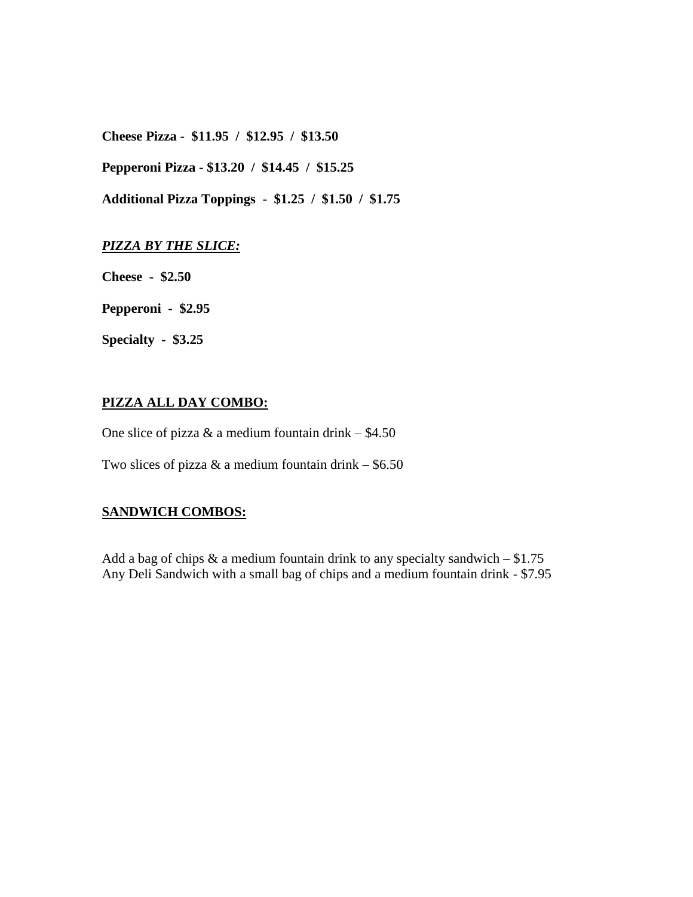**Cheese Pizza - \$11.95 / \$12.95 / \$13.50** 

 **Pepperoni Pizza - \$13.20 / \$14.45 / \$15.25** 

 **Additional Pizza Toppings - \$1.25 / \$1.50 / \$1.75** 

#### *PIZZA BY THE SLICE:*

 **Cheese - \$2.50** 

 **Pepperoni - \$2.95** 

 **Specialty - \$3.25** 

# **PIZZA ALL DAY COMBO:**

One slice of pizza  $\&$  a medium fountain drink – \$4.50

Two slices of pizza  $&$  a medium fountain drink – \$6.50

# **SANDWICH COMBOS:**

Add a bag of chips  $\&$  a medium fountain drink to any specialty sandwich  $-$  \$1.75 Any Deli Sandwich with a small bag of chips and a medium fountain drink - \$7.95